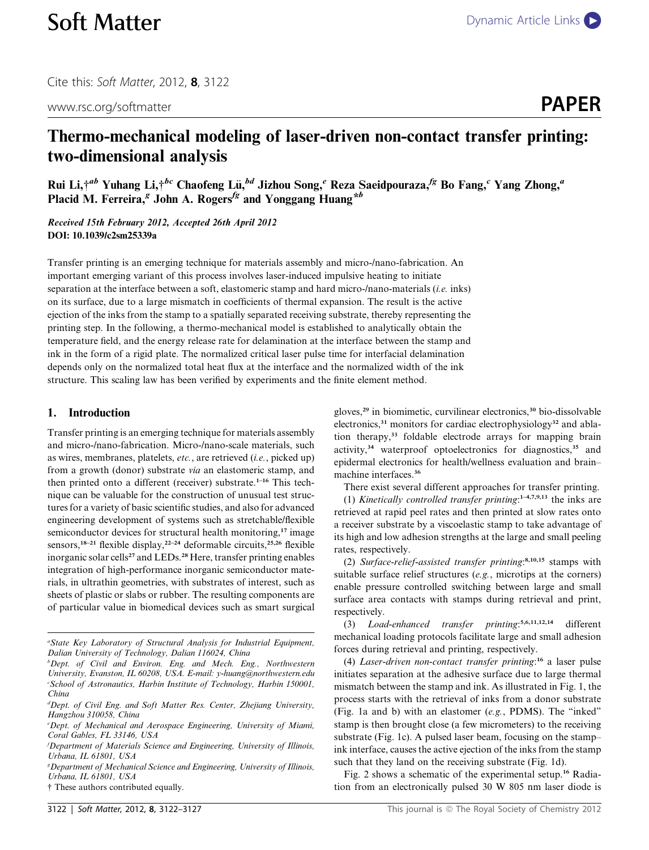Cite this: Soft Matter, 2012, <sup>8</sup>, 3122

www.rsc.org/softmatter **PAPER** 

# Thermo-mechanical modeling of laser-driven non-contact transfer printing: two-dimensional analysis

Rui Li, $\ddagger^{ab}$  Yuhang Li, $\ddagger^{bc}$  Chaofeng Lü, $^{bd}$  Jizhou Song,<sup>e</sup> Reza Saeidpouraza,<sup>fg</sup> Bo Fang,<sup>c</sup> Yang Zhong,<sup>a</sup> Placid M. Ferreira,  $g$  John A. Rogers<sup>fg</sup> and Yonggang Huang\*b

Received 15th February 2012, Accepted 26th April 2012 DOI: 10.1039/c2sm25339a

Transfer printing is an emerging technique for materials assembly and micro-/nano-fabrication. An important emerging variant of this process involves laser-induced impulsive heating to initiate separation at the interface between a soft, elastomeric stamp and hard micro-/nano-materials (*i.e.* inks) on its surface, due to a large mismatch in coefficients of thermal expansion. The result is the active ejection of the inks from the stamp to a spatially separated receiving substrate, thereby representing the printing step. In the following, a thermo-mechanical model is established to analytically obtain the temperature field, and the energy release rate for delamination at the interface between the stamp and ink in the form of a rigid plate. The normalized critical laser pulse time for interfacial delamination depends only on the normalized total heat flux at the interface and the normalized width of the ink structure. This scaling law has been verified by experiments and the finite element method.

## 1. Introduction

Transfer printing is an emerging technique for materials assembly and micro-/nano-fabrication. Micro-/nano-scale materials, such as wires, membranes, platelets, etc., are retrieved (i.e., picked up) from a growth (donor) substrate via an elastomeric stamp, and then printed onto a different (receiver) substrate.<sup>1-16</sup> This technique can be valuable for the construction of unusual test structures for a variety of basic scientific studies, and also for advanced engineering development of systems such as stretchable/flexible semiconductor devices for structural health monitoring,<sup>17</sup> image sensors,<sup>18–21</sup> flexible display,<sup>22–24</sup> deformable circuits,<sup>25,26</sup> flexible inorganic solar cells<sup>27</sup> and LEDs.<sup>28</sup> Here, transfer printing enables integration of high-performance inorganic semiconductor materials, in ultrathin geometries, with substrates of interest, such as sheets of plastic or slabs or rubber. The resulting components are of particular value in biomedical devices such as smart surgical gloves,<sup>29</sup> in biomimetic, curvilinear electronics,<sup>30</sup> bio-dissolvable electronics,<sup>31</sup> monitors for cardiac electrophysiology<sup>32</sup> and ablation therapy,<sup>33</sup> foldable electrode arrays for mapping brain activity,<sup>34</sup> waterproof optoelectronics for diagnostics,<sup>35</sup> and epidermal electronics for health/wellness evaluation and brain– machine interfaces.<sup>36</sup>

There exist several different approaches for transfer printing.

(1) Kinetically controlled transfer printing: $1-4,7,9,13$  the inks are retrieved at rapid peel rates and then printed at slow rates onto a receiver substrate by a viscoelastic stamp to take advantage of its high and low adhesion strengths at the large and small peeling rates, respectively.

(2) Surface-relief-assisted transfer printing: 8,10,15 stamps with suitable surface relief structures (e.g., microtips at the corners) enable pressure controlled switching between large and small surface area contacts with stamps during retrieval and print, respectively.

(3) Load-enhanced transfer printing: 5,6,11,12,14 different mechanical loading protocols facilitate large and small adhesion forces during retrieval and printing, respectively.

(4) Laser-driven non-contact transfer printing:<sup>16</sup> a laser pulse initiates separation at the adhesive surface due to large thermal mismatch between the stamp and ink. As illustrated in Fig. 1, the process starts with the retrieval of inks from a donor substrate (Fig. 1a and b) with an elastomer (e.g., PDMS). The ''inked'' stamp is then brought close (a few micrometers) to the receiving substrate (Fig. 1c). A pulsed laser beam, focusing on the stamp– ink interface, causes the active ejection of the inks from the stamp such that they land on the receiving substrate (Fig. 1d).

Fig. 2 shows a schematic of the experimental setup.<sup>16</sup> Radiation from an electronically pulsed 30 W 805 nm laser diode is

a State Key Laboratory of Structural Analysis for Industrial Equipment, Dalian University of Technology, Dalian 116024, China

<sup>&</sup>lt;sup>b</sup>Dept. of Civil and Environ. Eng. and Mech. Eng., Northwestern University, Evanston, IL 60208, USA. E-mail: y-huang@northwestern.edu c School of Astronautics, Harbin Institute of Technology, Harbin 150001, China

<sup>&</sup>lt;sup>d</sup>Dept. of Civil Eng. and Soft Matter Res. Center, Zhejiang University, Hangzhou 310058, China

<sup>&</sup>lt;sup>e</sup>Dept. of Mechanical and Aerospace Engineering, University of Miami, Coral Gables, FL 33146, USA

f Department of Materials Science and Engineering, University of Illinois, Urbana, IL 61801, USA

<sup>&</sup>lt;sup>g</sup> Department of Mechanical Science and Engineering, University of Illinois, Urbana, IL 61801, USA

<sup>†</sup> These authors contributed equally.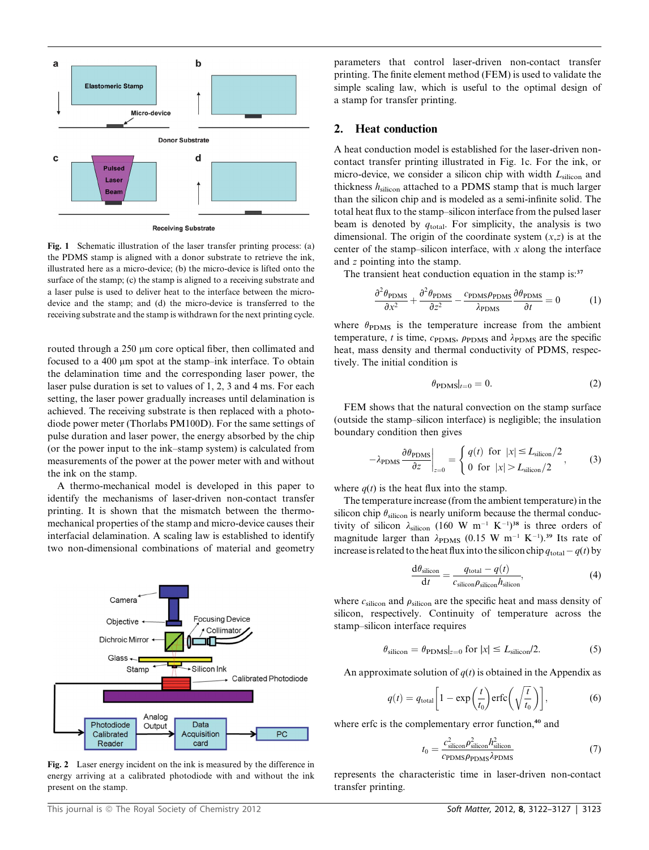

Fig. 1 Schematic illustration of the laser transfer printing process: (a) the PDMS stamp is aligned with a donor substrate to retrieve the ink, illustrated here as a micro-device; (b) the micro-device is lifted onto the surface of the stamp; (c) the stamp is aligned to a receiving substrate and a laser pulse is used to deliver heat to the interface between the microdevice and the stamp; and (d) the micro-device is transferred to the receiving substrate and the stamp is withdrawn for the next printing cycle.

routed through a 250 µm core optical fiber, then collimated and focused to a 400  $\mu$ m spot at the stamp–ink interface. To obtain the delamination time and the corresponding laser power, the laser pulse duration is set to values of 1, 2, 3 and 4 ms. For each setting, the laser power gradually increases until delamination is achieved. The receiving substrate is then replaced with a photodiode power meter (Thorlabs PM100D). For the same settings of pulse duration and laser power, the energy absorbed by the chip (or the power input to the ink–stamp system) is calculated from measurements of the power at the power meter with and without the ink on the stamp.

A thermo-mechanical model is developed in this paper to identify the mechanisms of laser-driven non-contact transfer printing. It is shown that the mismatch between the thermomechanical properties of the stamp and micro-device causes their interfacial delamination. A scaling law is established to identify two non-dimensional combinations of material and geometry



Fig. 2 Laser energy incident on the ink is measured by the difference in energy arriving at a calibrated photodiode with and without the ink present on the stamp.

parameters that control laser-driven non-contact transfer printing. The finite element method (FEM) is used to validate the simple scaling law, which is useful to the optimal design of a stamp for transfer printing.

### 2. Heat conduction

A heat conduction model is established for the laser-driven noncontact transfer printing illustrated in Fig. 1c. For the ink, or micro-device, we consider a silicon chip with width  $L<sub>silicon</sub>$  and thickness  $h_{\text{silicon}}$  attached to a PDMS stamp that is much larger than the silicon chip and is modeled as a semi-infinite solid. The total heat flux to the stamp–silicon interface from the pulsed laser beam is denoted by  $q_{total}$ . For simplicity, the analysis is two dimensional. The origin of the coordinate system  $(x, z)$  is at the center of the stamp–silicon interface, with  $x$  along the interface and z pointing into the stamp.

The transient heat conduction equation in the stamp is:<sup>37</sup>

$$
\frac{\partial^2 \theta_{\text{PDMS}}}{\partial x^2} + \frac{\partial^2 \theta_{\text{PDMS}}}{\partial z^2} - \frac{c_{\text{PDMS}} \rho_{\text{PDMS}}}{\lambda_{\text{PDMS}}} \frac{\partial \theta_{\text{PDMS}}}{\partial t} = 0 \tag{1}
$$

where  $\theta_{\rm PDMS}$  is the temperature increase from the ambient temperature, t is time,  $c_{\text{PDMS}}$ ,  $\rho_{\text{PDMS}}$  and  $\lambda_{\text{PDMS}}$  are the specific heat, mass density and thermal conductivity of PDMS, respectively. The initial condition is

$$
\theta_{\text{PDMS}}|_{t=0} = 0. \tag{2}
$$

FEM shows that the natural convection on the stamp surface (outside the stamp–silicon interface) is negligible; the insulation boundary condition then gives

$$
-\lambda_{\text{PDMS}} \frac{\partial \theta_{\text{PDMS}}}{\partial z}\bigg|_{z=0} = \begin{cases} q(t) \text{ for } |x| \le L_{\text{silicon}}/2\\ 0 \text{ for } |x| > L_{\text{silicon}}/2 \end{cases}
$$
 (3)

where  $q(t)$  is the heat flux into the stamp.

The temperature increase (from the ambient temperature) in the silicon chip  $\theta_{\text{silicon}}$  is nearly uniform because the thermal conductivity of silicon  $\lambda_{\text{silicon}}$  (160 W m<sup>-1</sup> K<sup>-1</sup>)<sup>38</sup> is three orders of magnitude larger than  $\lambda_{\text{sol}}$  (0.15 W m<sup>-1</sup> K<sup>-1</sup>)<sup>39</sup> Its rate of magnitude larger than  $\lambda_{\text{PDMS}}$  (0.15 W m<sup>-1</sup> K<sup>-1</sup>).<sup>39</sup> Its rate of<br>increase is related to the heat flux into the silicon chin  $a_{\text{max}} = a(t)$  by increase is related to the heat flux into the silicon chip  $q_{\text{total}} - q(t)$  by

$$
\frac{d\theta_{\text{silicon}}}{dt} = \frac{q_{\text{total}} - q(t)}{c_{\text{silicon}}\rho_{\text{silicon}}h_{\text{silicon}}},\tag{4}
$$

where  $c_{\text{silicon}}$  and  $\rho_{\text{silicon}}$  are the specific heat and mass density of silicon, respectively. Continuity of temperature across the stamp–silicon interface requires

$$
\theta_{\text{silicon}} = \theta_{\text{PDMS}}|_{z=0} \text{ for } |x| \le L_{\text{silicon}}/2. \tag{5}
$$

An approximate solution of  $q(t)$  is obtained in the Appendix as

$$
q(t) = q_{\text{total}} \left[ 1 - \exp\left(\frac{t}{t_0}\right) \text{erfc}\left(\sqrt{\frac{t}{t_0}}\right) \right],\tag{6}
$$

where erfc is the complementary error function,<sup>40</sup> and

$$
t_0 = \frac{c_{\text{silicon}}^2 \rho_{\text{silicon}}^2 h_{\text{silicon}}^2}{c_{\text{PDMS}} \rho_{\text{PDMS}} \lambda_{\text{PDMS}}}
$$
(7)

represents the characteristic time in laser-driven non-contact transfer printing.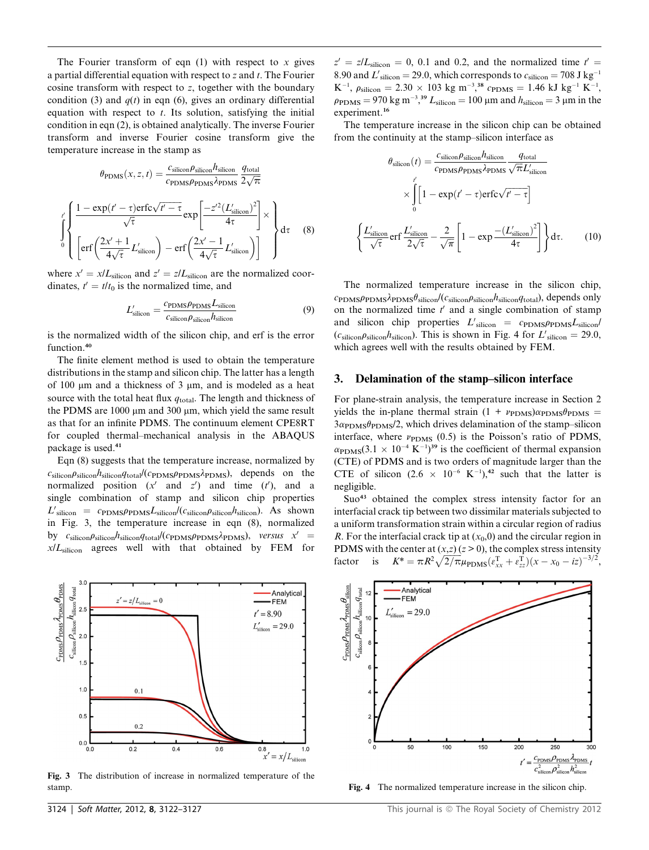The Fourier transform of eqn  $(1)$  with respect to x gives a partial differential equation with respect to  $z$  and  $t$ . The Fourier cosine transform with respect to z, together with the boundary condition (3) and  $q(t)$  in eqn (6), gives an ordinary differential equation with respect to  $t$ . Its solution, satisfying the initial condition in eqn (2), is obtained analytically. The inverse Fourier transform and inverse Fourier cosine transform give the temperature increase in the stamp as

$$
\theta_{\text{PDMS}}(x, z, t) = \frac{c_{\text{silicon}} \rho_{\text{silicon}} h_{\text{silicon}}}{c_{\text{PDMS}} \rho_{\text{PDMS}} \lambda_{\text{PDMS}} \frac{q_{\text{total}}}{2\sqrt{\pi}}}
$$
\n
$$
\int_{0}^{t'} \left\{ \frac{1 - \exp(t' - \tau) \text{erfc}\sqrt{t' - \tau}}{\sqrt{\tau}} \exp\left[\frac{-z'^2 (L'_{\text{silicon}})^2}{4\tau}\right] \times \left\{ \text{erf}\left(\frac{2x' + 1}{4\sqrt{\tau}} L'_{\text{silicon}}\right) - \text{erf}\left(\frac{2x' - 1}{4\sqrt{\tau}} L'_{\text{silicon}}\right) \right\} \right\} d\tau \quad (8)
$$

where  $x' = x/L_{\text{silicon}}$  and  $z' = z/L_{\text{silicon}}$  are the normalized coordinates,  $t' = t/t_0$  is the normalized time, and

$$
L'_{\text{silicon}} = \frac{c_{\text{PDMS}} \rho_{\text{PDMS}} L_{\text{silicon}}}{c_{\text{silicon}} \rho_{\text{silicon}} h_{\text{silicon}}}
$$
(9)

is the normalized width of the silicon chip, and erf is the error function.<sup>40</sup>

The finite element method is used to obtain the temperature distributions in the stamp and silicon chip. The latter has a length of 100  $\mu$ m and a thickness of 3  $\mu$ m, and is modeled as a heat source with the total heat flux  $q_{\text{total}}$ . The length and thickness of the PDMS are  $1000 \mu m$  and  $300 \mu m$ , which yield the same result as that for an infinite PDMS. The continuum element CPE8RT for coupled thermal–mechanical analysis in the ABAQUS package is used.<sup>41</sup>

Eqn (8) suggests that the temperature increase, normalized by  $c_{\rm silicon}\rho_{\rm silicon}h_{\rm silicon}q_{\rm total}/(c_{\rm PDMS}\rho_{\rm PDMS})$ , depends on the normalized position  $(x'$  and  $z'$ ) and time  $(t')$ , and a single combination of stamp and silicon chip properties  $L'$ silicon = CPDMSPPDMS $L$ silicon $\ell$ Csilicon $\rho$ silicon $h$ silicon). As shown in Fig. 3, the temperature increase in eqn (8), normalized by  $c_{\text{silicon}}\rho_{\text{silicon}}\eta_{\text{silicon}}\qquad_{\text{total}}/(c_{\text{PDMS}}\rho_{\text{PDMS}}\lambda_{\text{PDMS}})$ , versus  $x' =$  $x/L<sub>silicon</sub>$  agrees well with that obtained by FEM for



Fig. 3 The distribution of increase in normalized temperature of the stamp. The normalized temperature increase in the silicon chip.

 $z' = z/L_{\text{silicon}} = 0, 0.1$  and 0.2, and the normalized time  $t' =$ 8.90 and  $L'_{\text{silicon}} = 29.0$ , which corresponds to  $c_{\text{silicon}} = 708 \text{ J kg}^{-1}$  $K^{-1}$ ,  $\rho_{\text{silicon}} = 2.30 \times 103 \text{ kg m}^{-3}$ ,  $\frac{38}{3}$   $\rho_{\text{PDMS}} = 1.46 \text{ kJ kg}^{-1}$   $K^{-1}$ ,<br> $\rho_{\text{sulicon}} = 970 \text{ kg m}^{-3}$ ,  $\frac{39 \text{ J}}{1 \text{ m}} = 100 \text{ µm and } h_{\text{m}} = 3 \text{ µm in the}$  $\rho_{\text{PDMS}} = 970 \text{ kg m}^{-3}$ ,<sup>39</sup>  $L_{\text{silicon}} = 100 \mu \text{m}$  and  $h_{\text{silicon}} = 3 \mu \text{m}$  in the experiment.<sup>16</sup>

The temperature increase in the silicon chip can be obtained from the continuity at the stamp–silicon interface as

$$
\theta_{\text{silicon}}(t) = \frac{c_{\text{silicon}} \rho_{\text{silicon}} h_{\text{silicon}}}{c_{\text{PDMS}} \rho_{\text{PDMS}} \lambda_{\text{PDMS}} \sqrt{\pi} L_{\text{silicon}}}
$$

$$
\times \int_{0}^{t} \left[1 - \exp(t' - \tau) \text{erfc}\sqrt{t' - \tau}\right]
$$

$$
\frac{L_{\text{silicon}}'}{\sqrt{\tau}} \text{erf}\frac{L_{\text{silicon}}'}{2\sqrt{\tau}} - \frac{2}{\sqrt{\pi}} \left[1 - \exp\frac{-(L_{\text{silicon}}')^2}{4\tau}\right] \text{d}\tau. \tag{10}
$$

The normalized temperature increase in the silicon chip,  $c_{\text{PDMS}}\rho_{\text{PDMS}}\lambda_{\text{PDMS}}\theta_{\text{silicon}}/c_{\text{silicon}}\rho_{\text{silicon}}\theta_{\text{silicon}}\theta_{\text{total}}$ , depends only on the normalized time  $t'$  and a single combination of stamp and silicon chip properties  $L'_{\text{silicon}} = c_{\text{PDMS}} \rho_{\text{PDMS}} L_{\text{silicon}}$ <br>(cm em hm ) This is shown in Fig. 4 for  $L'_{\text{max}} = 29.0$  $(c_{\text{silicon}}/c_{\text{silicon}}/c_{\text{silicon}})$ . This is shown in Fig. 4 for  $L'_{\text{silicon}} = 29.0$ , which agrees well with the results obtained by FEM which agrees well with the results obtained by FEM.

#### 3. Delamination of the stamp–silicon interface

 $\sqrt{2}$ 

For plane-strain analysis, the temperature increase in Section 2 yields the in-plane thermal strain  $(1 + \nu_{\text{PDMS}})\alpha_{\text{PDMS}}\theta_{\text{PDMS}} =$  $3\alpha_{\rm PDMS}\theta_{\rm PDMS}/2$ , which drives delamination of the stamp–silicon interface, where  $\nu_{\text{PDMS}}$  (0.5) is the Poisson's ratio of PDMS,  $\alpha_{\text{PDMS}}(3.1 \times 10^{-4} \text{ K}^{-1})^{39}$  is the coefficient of thermal expansion<br>(CTE) of PDMS and is two orders of magnitude larger than the (CTE) of PDMS and is two orders of magnitude larger than the CTE of silicon  $(2.6 \times 10^{-6} \text{ K}^{-1})$ ,<sup>42</sup> such that the latter is negligible.

Suo<sup>43</sup> obtained the complex stress intensity factor for an interfacial crack tip between two dissimilar materials subjected to a uniform transformation strain within a circular region of radius R. For the interfacial crack tip at  $(x_0,0)$  and the circular region in PDMS with the center at  $(x,z)$  ( $z > 0$ ), the complex stress intensity factor is  $K^* = \pi R^2 \sqrt{2/\pi} \mu_{\text{PDMS}} (\varepsilon_{xx}^T + \varepsilon_{zz}^T)(x - x_0 - iz)^{-3/2},$ 

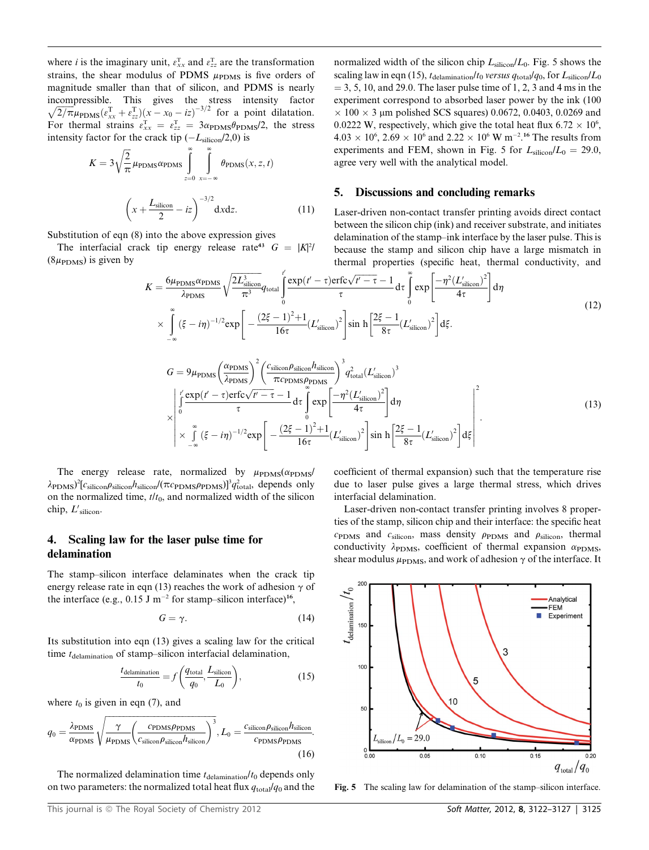where *i* is the imaginary unit,  $\varepsilon_{xx}^{T}$  and  $\varepsilon_{zz}^{T}$  are the transformation strains, the shear modulus of PDMS  $\mu_{\text{max}}$  is five orders of strains, the shear modulus of PDMS  $\mu_{\text{PDMS}}$  is five orders of magnitude smaller than that of silicon, and PDMS is nearly incompressible. This gives the stress intensity factor  $\sqrt{2/\pi} \mu_{\text{PDMS}}(\varepsilon_{xx}^{\text{T}} + \varepsilon_{zz}^{\text{T}})(x - x_0 - i \varepsilon)^{-3/2}$  for a point dilatation. For thermal strains  $\varepsilon_{xx}^T = \varepsilon_{zz}^T = 3\alpha_{\text{PDMS}}\theta_{\text{PDMS}}/2$ , the stress intensity factor for the crack tip  $(-L - 7.20)$  is intensity factor for the crack tip  $(-L_{\text{silicon}}/2,0)$  is

$$
K = 3\sqrt{\frac{2}{\pi}}\mu_{\text{PDMS}}\alpha_{\text{PDMS}}\int_{z=0}^{\infty}\int_{x=-\infty}^{\infty}\theta_{\text{PDMS}}(x, z, t)
$$

$$
\left(x + \frac{L_{\text{silicon}}}{2} - iz\right)^{-3/2} \text{d}x \text{d}z.
$$
 (11)

Substitution of eqn (8) into the above expression gives

The interfacial crack tip energy release rate<sup>43</sup>  $G = |K|^2$  $(8\mu_{\rm PDMS})$  is given by

normalized width of the silicon chip  $L_{\text{silicon}}/L_0$ . Fig. 5 shows the scaling law in eqn (15),  $t_{\text{delamination}}/t_0$  versus  $q_{\text{total}}/q_0$ , for  $L_{\text{silicon}}/L_0$  $=$  3, 5, 10, and 29.0. The laser pulse time of 1, 2, 3 and 4 ms in the experiment correspond to absorbed laser power by the ink (100  $\times$  100  $\times$  3 µm polished SCS squares) 0.0672, 0.0403, 0.0269 and 0.0222 W, respectively, which give the total heat flux  $6.72 \times 10^6$ ,  $4.03 \times 10^6$ ,  $2.69 \times 10^6$  and  $2.22 \times 10^6$  W m<sup>-2</sup>.<sup>16</sup> The results from experiments and FEM, shown in Fig. 5 for  $L_{\text{silicon}}/L_0 = 29.0$ , agree very well with the analytical model.

#### 5. Discussions and concluding remarks

Laser-driven non-contact transfer printing avoids direct contact between the silicon chip (ink) and receiver substrate, and initiates delamination of the stamp–ink interface by the laser pulse. This is because the stamp and silicon chip have a large mismatch in thermal properties (specific heat, thermal conductivity, and

$$
K = \frac{6\mu_{\text{PDMS}}\alpha_{\text{PDMS}}}{\lambda_{\text{PDMS}}} \sqrt{\frac{2L_{\text{silicon}}^3}{\pi^3}} q_{\text{total}} \int_0^t \frac{\exp(t'-\tau)\text{erfc}\sqrt{t'-\tau}-1}{\tau} d\tau \int_0^\infty \exp\left[\frac{-\eta^2 (L'_{\text{silicon}})^2}{4\tau}\right] d\eta
$$
  
 
$$
\times \int_{-\infty}^\infty (\xi - i\eta)^{-1/2} \exp\left[-\frac{(2\xi - 1)^2 + 1}{16\tau} (L'_{\text{silicon}})^2\right] \sin\left[\frac{2\xi - 1}{8\tau} (L'_{\text{silicon}})^2\right] d\xi.
$$
 (12)

$$
G = 9\mu_{\text{PDMS}} \left(\frac{\alpha_{\text{PDMS}}}{\lambda_{\text{PDMS}}}\right)^2 \left(\frac{c_{\text{silicon}} \rho_{\text{silicon}} h_{\text{silicon}}}{\pi c_{\text{PDMS}} \rho_{\text{PDMS}}}\right)^3 q_{\text{total}}^2 (L'_{\text{silicon}})^3
$$
  
\n
$$
\times \int_0^l \left(\frac{\exp(t-\tau) \exp(\tau - \tau - 1)}{\tau} d\tau \int_0^{\infty} \exp\left[\frac{-\eta^2 (L'_{\text{silicon}})^2}{4\tau}\right] d\eta
$$
  
\n
$$
\times \int_{-\infty}^{\infty} (\xi - i\eta)^{-1/2} \exp\left[-\frac{(2\xi - 1)^2 + 1}{16\tau} (L'_{\text{silicon}})^2\right] \sin h \left[\frac{2\xi - 1}{8\tau} (L'_{\text{silicon}})^2\right] d\xi\right].
$$
\n(13)

The energy release rate, normalized by  $\mu_{\text{PDMS}}(\alpha_{\text{PDMS}})$  $\lambda_{\text{PDMS}}$ )<sup>2</sup> $[c_{\text{silicon}}/$ <sub>slicon</sub> $\theta_{\text{silicon}}/(\pi c_{\text{PDMS}}/p_{\text{DNMS}})]$ <sup>3</sup> $q_{\text{total}}^2$ , depends only on the normalized time,  $t/t_0$ , and normalized width of the silicon chip,  $L'_{\text{silicon}}$ .

# 4. Scaling law for the laser pulse time for delamination

The stamp–silicon interface delaminates when the crack tip energy release rate in eqn (13) reaches the work of adhesion  $\gamma$  of the interface (e.g.,  $0.15$  J m<sup>-2</sup> for stamp-silicon interface)<sup>16</sup>,

$$
G = \gamma. \tag{14}
$$

Its substitution into eqn (13) gives a scaling law for the critical time  $t_{\text{delamination}}$  of stamp–silicon interfacial delamination,

$$
\frac{t_{\text{delamination}}}{t_0} = f\left(\frac{q_{\text{total}}}{q_0}, \frac{L_{\text{silicon}}}{L_0}\right),\tag{15}
$$

where  $t_0$  is given in eqn (7), and

$$
q_0 = \frac{\lambda_{\text{PDMS}}}{\alpha_{\text{PDMS}}} \sqrt{\frac{\gamma}{\mu_{\text{PDMS}}}} \left(\frac{c_{\text{PDMS}} \rho_{\text{PDMS}}}{c_{\text{silicon}} \rho_{\text{silicon}}} \right)^3, L_0 = \frac{c_{\text{silicon}} \rho_{\text{silicon}} h_{\text{silicon}}}{c_{\text{PDMS}} \rho_{\text{PDMS}}}.
$$
\n(16)

The normalized delamination time  $t_{\text{delamination}}/t_0$  depends only on two parameters: the normalized total heat flux  $q_{\text{total}}/q_0$  and the coefficient of thermal expansion) such that the temperature rise due to laser pulse gives a large thermal stress, which drives interfacial delamination.

Laser-driven non-contact transfer printing involves 8 properties of the stamp, silicon chip and their interface: the specific heat  $c_{\text{PDMS}}$  and  $c_{\text{silicon}}$ , mass density  $\rho_{\text{PDMS}}$  and  $\rho_{\text{silicon}}$ , thermal conductivity  $\lambda_{\text{PDMS}}$ , coefficient of thermal expansion  $\alpha_{\text{PDMS}}$ , shear modulus  $\mu_{\text{PDMS}}$ , and work of adhesion  $\gamma$  of the interface. It



Fig. 5 The scaling law for delamination of the stamp–silicon interface.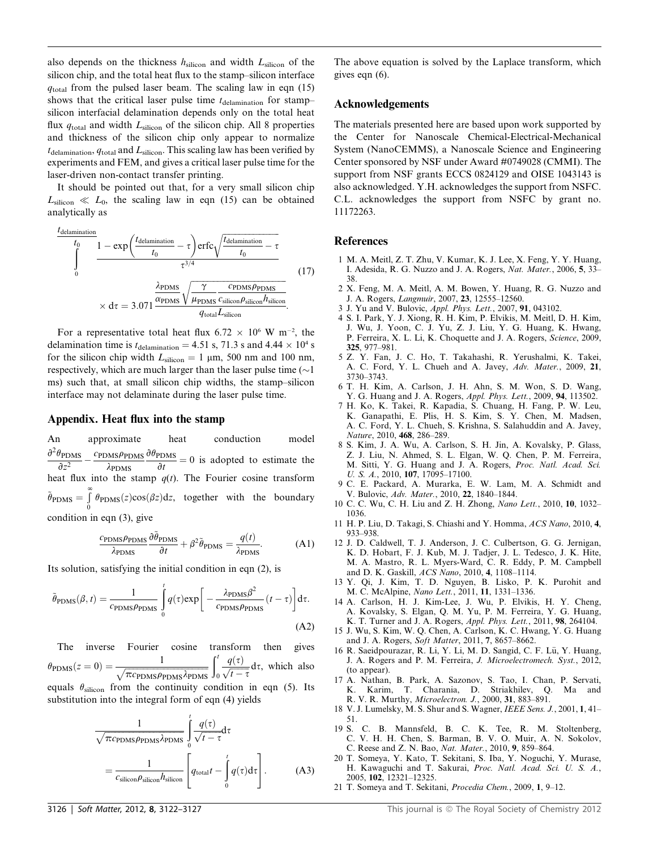also depends on the thickness  $h_{\text{silicon}}$  and width  $L_{\text{silicon}}$  of the silicon chip, and the total heat flux to the stamp–silicon interface  $q_{total}$  from the pulsed laser beam. The scaling law in eqn (15) shows that the critical laser pulse time  $t_{\text{delamination}}$  for stamp– silicon interfacial delamination depends only on the total heat flux  $q_{\text{total}}$  and width  $L_{\text{silicon}}$  of the silicon chip. All 8 properties and thickness of the silicon chip only appear to normalize  $t_{\text{delamination}}$ ,  $q_{\text{total}}$  and  $L_{\text{silicon}}$ . This scaling law has been verified by experiments and FEM, and gives a critical laser pulse time for the laser-driven non-contact transfer printing.

It should be pointed out that, for a very small silicon chip  $L_{\text{silicon}} \ll L_0$ , the scaling law in eqn (15) can be obtained analytically as

$$
\frac{t_{\text{delamination}}}{t_0} \frac{1 - \exp\left(\frac{t_{\text{delamination}}}{t_0} - \tau\right) \text{erfc}\sqrt{\frac{t_{\text{delamination}}}{t_0} - \tau}}{\tau^{3/4}}\n\times d\tau = 3.071 \frac{\frac{\lambda_{\text{PDMS}}}{\alpha_{\text{PDMS}}}\sqrt{\frac{\gamma}{\mu_{\text{PDMS}}}\frac{c_{\text{PDMS}}\rho_{\text{pDMS}}}{c_{\text{silicon}}\rho_{\text{silicon}}}}}{q_{\text{total}}L_{\text{silicon}}}
$$
\n(17)

For a representative total heat flux  $6.72 \times 10^6$  W m<sup>-2</sup>, the delamination time is  $t_{\text{delamination}} = 4.51 \text{ s}$ , 71.3 s and 4.44  $\times 10^4 \text{ s}$ for the silicon chip width  $L_{\text{silicon}} = 1 \text{ µm}$ , 500 nm and 100 nm, respectively, which are much larger than the laser pulse time  $(\sim)$ ms) such that, at small silicon chip widths, the stamp–silicon interface may not delaminate during the laser pulse time.

#### Appendix. Heat flux into the stamp

An approximate heat conduction model  $\frac{\partial^2 \theta_{\text{PDMS}}}{\partial z^2}$  $\frac{\partial z^2}{\partial t^2}$  -  $\frac{\partial z^2}{\partial t^2}$  -  $\frac{\partial t}{\partial t}$  = 0 is adopted to estimate the heat flux into the stamp  $q(t)$ . The Fourier cosine transform  $-\frac{c_{\text{PDMS}}\rho_{\text{PDMS}}}{\lambda_{\text{PDMS}}}\frac{\partial \theta_{\text{PDMS}}}{\partial t} = 0$  is adopted to estimate the  $\tilde{\theta}_{\text{PDMS}} = \int_{0}^{\infty} \theta_{\text{PDMS}}(z) \cos(\beta z) dz$ , together with the boundary condition in eqn (3), give

$$
\frac{c_{\text{PDMS}}\rho_{\text{PDMS}}}{\lambda_{\text{PDMS}}}\frac{\partial\tilde{\theta}_{\text{PDMS}}}{\partial t} + \beta^2 \tilde{\theta}_{\text{PDMS}} = \frac{q(t)}{\lambda_{\text{PDMS}}}.
$$
 (A1)

Its solution, satisfying the initial condition in eqn (2), is

$$
\tilde{\theta}_{\text{PDMS}}(\beta, t) = \frac{1}{c_{\text{PDMS}} \rho_{\text{PDMS}}} \int_{0}^{t} q(\tau) \exp\left[-\frac{\lambda_{\text{PDMS}} \beta^2}{c_{\text{PDMS}} \rho_{\text{PDMS}}}(t-\tau)\right] d\tau.
$$
\n(A2)

The inverse Fourier cosine transform then gives  $\theta_{\text{PDMS}}(z=0) = \frac{1}{\sqrt{\pi c_{\text{PDMS}} \rho_{\text{PDMS}} \lambda_{\text{PDMS}}}$ <br>couple  $\theta$  from the continuity of  $\int_0^t$  $\boldsymbol{0}$  $q(\tau)$  $\frac{\partial f(t)}{\partial t - \tau} d\tau$ , which also

equals  $\theta_{\text{silicon}}$  from the continuity condition in eqn (5). Its substitution into the integral form of eqn (4) yields

$$
\frac{1}{\sqrt{\pi c_{\text{PDMS}} \rho_{\text{PDMS}} \lambda_{\text{PDMS}}}} \int_{0}^{t} \frac{q(\tau)}{\sqrt{t - \tau}} d\tau
$$
\n
$$
= \frac{1}{c_{\text{silicon}} \rho_{\text{silicon}} h_{\text{silicon}}} \left[ q_{\text{total}} t - \int_{0}^{t} q(\tau) d\tau \right].
$$
\n(A3)

The above equation is solved by the Laplace transform, which gives eqn (6).

#### Acknowledgements

The materials presented here are based upon work supported by the Center for Nanoscale Chemical-Electrical-Mechanical System (NanoCEMMS), a Nanoscale Science and Engineering Center sponsored by NSF under Award #0749028 (CMMI). The support from NSF grants ECCS 0824129 and OISE 1043143 is also acknowledged. Y.H. acknowledges the support from NSFC. C.L. acknowledges the support from NSFC by grant no. 11172263.

#### References

- 1 M. A. Meitl, Z. T. Zhu, V. Kumar, K. J. Lee, X. Feng, Y. Y. Huang, I. Adesida, R. G. Nuzzo and J. A. Rogers, Nat. Mater., 2006, 5, 33– 38.
- 2 X. Feng, M. A. Meitl, A. M. Bowen, Y. Huang, R. G. Nuzzo and J. A. Rogers, Langmuir, 2007, 23, 12555–12560.
- 3 J. Yu and V. Bulovic, Appl. Phys. Lett., 2007, 91, 043102.
- 4 S. I. Park, Y. J. Xiong, R. H. Kim, P. Elvikis, M. Meitl, D. H. Kim, J. Wu, J. Yoon, C. J. Yu, Z. J. Liu, Y. G. Huang, K. Hwang, P. Ferreira, X. L. Li, K. Choquette and J. A. Rogers, Science, 2009, 325, 977–981.
- 5 Z. Y. Fan, J. C. Ho, T. Takahashi, R. Yerushalmi, K. Takei, A. C. Ford, Y. L. Chueh and A. Javey, Adv. Mater., 2009, 21, 3730–3743.
- 6 T. H. Kim, A. Carlson, J. H. Ahn, S. M. Won, S. D. Wang, Y. G. Huang and J. A. Rogers, Appl. Phys. Lett., 2009, 94, 113502.
- 7 H. Ko, K. Takei, R. Kapadia, S. Chuang, H. Fang, P. W. Leu, K. Ganapathi, E. Plis, H. S. Kim, S. Y. Chen, M. Madsen, A. C. Ford, Y. L. Chueh, S. Krishna, S. Salahuddin and A. Javey, Nature, 2010, 468, 286–289.
- 8 S. Kim, J. A. Wu, A. Carlson, S. H. Jin, A. Kovalsky, P. Glass, Z. J. Liu, N. Ahmed, S. L. Elgan, W. Q. Chen, P. M. Ferreira, M. Sitti, Y. G. Huang and J. A. Rogers, Proc. Natl. Acad. Sci. U. S. A., 2010, 107, 17095–17100.
- 9 C. E. Packard, A. Murarka, E. W. Lam, M. A. Schmidt and V. Bulovic, Adv. Mater., 2010, 22, 1840–1844.
- 10 C. C. Wu, C. H. Liu and Z. H. Zhong, Nano Lett., 2010, 10, 1032– 1036.
- 11 H. P. Liu, D. Takagi, S. Chiashi and Y. Homma, ACS Nano, 2010, 4, 933–938.
- 12 J. D. Caldwell, T. J. Anderson, J. C. Culbertson, G. G. Jernigan, K. D. Hobart, F. J. Kub, M. J. Tadjer, J. L. Tedesco, J. K. Hite, M. A. Mastro, R. L. Myers-Ward, C. R. Eddy, P. M. Campbell and D. K. Gaskill, ACS Nano, 2010, 4, 1108–1114.
- 13 Y. Qi, J. Kim, T. D. Nguyen, B. Lisko, P. K. Purohit and M. C. McAlpine, Nano Lett., 2011, 11, 1331–1336.
- 14 A. Carlson, H. J. Kim-Lee, J. Wu, P. Elvikis, H. Y. Cheng, A. Kovalsky, S. Elgan, Q. M. Yu, P. M. Ferreira, Y. G. Huang, K. T. Turner and J. A. Rogers, Appl. Phys. Lett., 2011, 98, 264104.
- 15 J. Wu, S. Kim, W. Q. Chen, A. Carlson, K. C. Hwang, Y. G. Huang and J. A. Rogers, Soft Matter, 2011, 7, 8657–8662.
- 16 R. Saeidpourazar, R. Li, Y. Li, M. D. Sangid, C. F. Lü, Y. Huang, J. A. Rogers and P. M. Ferreira, J. Microelectromech. Syst., 2012, (to appear).
- 17 A. Nathan, B. Park, A. Sazonov, S. Tao, I. Chan, P. Servati, K. Karim, T. Charania, D. Striakhilev, Q. Ma and R. V. R. Murthy, Microelectron. J., 2000, 31, 883–891.
- 18 V. J. Lumelsky, M. S. Shur and S. Wagner, IEEE Sens. J., 2001, 1, 41– 51.
- 19 S. C. B. Mannsfeld, B. C. K. Tee, R. M. Stoltenberg, C. V. H. H. Chen, S. Barman, B. V. O. Muir, A. N. Sokolov, C. Reese and Z. N. Bao, Nat. Mater., 2010, 9, 859–864.
- 20 T. Someya, Y. Kato, T. Sekitani, S. Iba, Y. Noguchi, Y. Murase, H. Kawaguchi and T. Sakurai, Proc. Natl. Acad. Sci. U. S. A., 2005, 102, 12321–12325.
- 21 T. Someya and T. Sekitani, Procedia Chem., 2009, 1, 9–12.